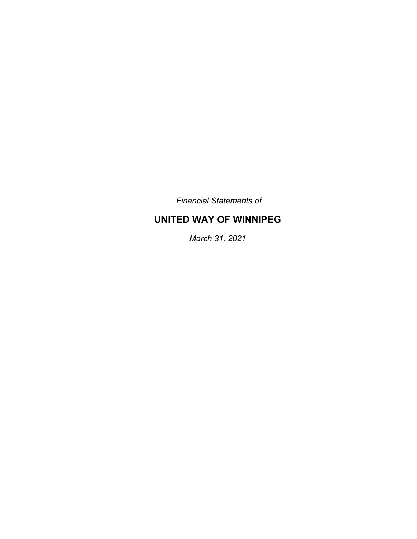*Financial Statements of* 

# **UNITED WAY OF WINNIPEG**

*March 31, 2021*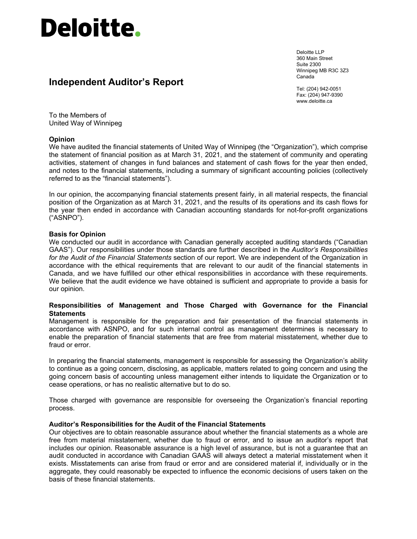# **Deloitte.**

# **Independent Auditor's Report**

Deloitte LLP 360 Main Street Suite 2300 Winnipeg MB R3C 3Z3 Canada

Tel: (204) 942-0051 Fax: (204) 947-9390 www.deloitte.ca

To the Members of United Way of Winnipeg

#### **Opinion**

We have audited the financial statements of United Way of Winnipeg (the "Organization"), which comprise the statement of financial position as at March 31, 2021, and the statement of community and operating activities, statement of changes in fund balances and statement of cash flows for the year then ended, and notes to the financial statements, including a summary of significant accounting policies (collectively referred to as the "financial statements").

In our opinion, the accompanying financial statements present fairly, in all material respects, the financial position of the Organization as at March 31, 2021, and the results of its operations and its cash flows for the year then ended in accordance with Canadian accounting standards for not-for-profit organizations ("ASNPO").

#### **Basis for Opinion**

We conducted our audit in accordance with Canadian generally accepted auditing standards ("Canadian GAAS"). Our responsibilities under those standards are further described in the *Auditor's Responsibilities for the Audit of the Financial Statements* section of our report. We are independent of the Organization in accordance with the ethical requirements that are relevant to our audit of the financial statements in Canada, and we have fulfilled our other ethical responsibilities in accordance with these requirements. We believe that the audit evidence we have obtained is sufficient and appropriate to provide a basis for our opinion.

#### **Responsibilities of Management and Those Charged with Governance for the Financial Statements**

Management is responsible for the preparation and fair presentation of the financial statements in accordance with ASNPO, and for such internal control as management determines is necessary to enable the preparation of financial statements that are free from material misstatement, whether due to fraud or error.

In preparing the financial statements, management is responsible for assessing the Organization's ability to continue as a going concern, disclosing, as applicable, matters related to going concern and using the going concern basis of accounting unless management either intends to liquidate the Organization or to cease operations, or has no realistic alternative but to do so.

Those charged with governance are responsible for overseeing the Organization's financial reporting process.

#### **Auditor's Responsibilities for the Audit of the Financial Statements**

Our objectives are to obtain reasonable assurance about whether the financial statements as a whole are free from material misstatement, whether due to fraud or error, and to issue an auditor's report that includes our opinion. Reasonable assurance is a high level of assurance, but is not a guarantee that an audit conducted in accordance with Canadian GAAS will always detect a material misstatement when it exists. Misstatements can arise from fraud or error and are considered material if, individually or in the aggregate, they could reasonably be expected to influence the economic decisions of users taken on the basis of these financial statements.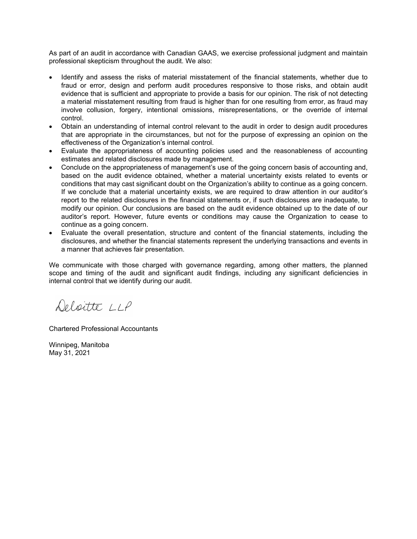As part of an audit in accordance with Canadian GAAS, we exercise professional judgment and maintain professional skepticism throughout the audit. We also:

- Identify and assess the risks of material misstatement of the financial statements, whether due to fraud or error, design and perform audit procedures responsive to those risks, and obtain audit evidence that is sufficient and appropriate to provide a basis for our opinion. The risk of not detecting a material misstatement resulting from fraud is higher than for one resulting from error, as fraud may involve collusion, forgery, intentional omissions, misrepresentations, or the override of internal control.
- Obtain an understanding of internal control relevant to the audit in order to design audit procedures that are appropriate in the circumstances, but not for the purpose of expressing an opinion on the effectiveness of the Organization's internal control.
- Evaluate the appropriateness of accounting policies used and the reasonableness of accounting estimates and related disclosures made by management.
- Conclude on the appropriateness of management's use of the going concern basis of accounting and, based on the audit evidence obtained, whether a material uncertainty exists related to events or conditions that may cast significant doubt on the Organization's ability to continue as a going concern. If we conclude that a material uncertainty exists, we are required to draw attention in our auditor's report to the related disclosures in the financial statements or, if such disclosures are inadequate, to modify our opinion. Our conclusions are based on the audit evidence obtained up to the date of our auditor's report. However, future events or conditions may cause the Organization to cease to continue as a going concern.
- Evaluate the overall presentation, structure and content of the financial statements, including the disclosures, and whether the financial statements represent the underlying transactions and events in a manner that achieves fair presentation.

We communicate with those charged with governance regarding, among other matters, the planned scope and timing of the audit and significant audit findings, including any significant deficiencies in internal control that we identify during our audit.

Deloitte LLP

Chartered Professional Accountants

Winnipeg, Manitoba May 31, 2021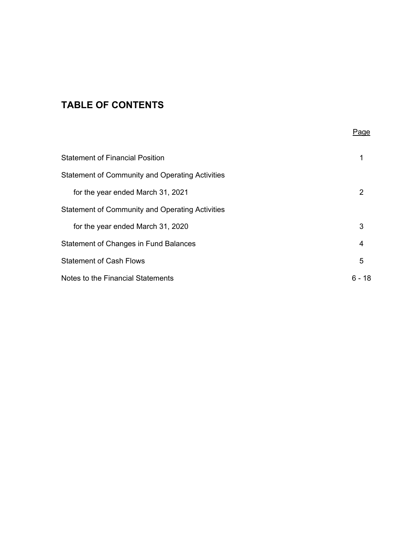# **TABLE OF CONTENTS**

|                                                        | Page   |
|--------------------------------------------------------|--------|
| <b>Statement of Financial Position</b>                 | 1      |
| <b>Statement of Community and Operating Activities</b> |        |
| for the year ended March 31, 2021                      | 2      |
| <b>Statement of Community and Operating Activities</b> |        |
| for the year ended March 31, 2020                      | 3      |
| <b>Statement of Changes in Fund Balances</b>           | 4      |
| <b>Statement of Cash Flows</b>                         | 5      |
| Notes to the Financial Statements                      | ճ - 18 |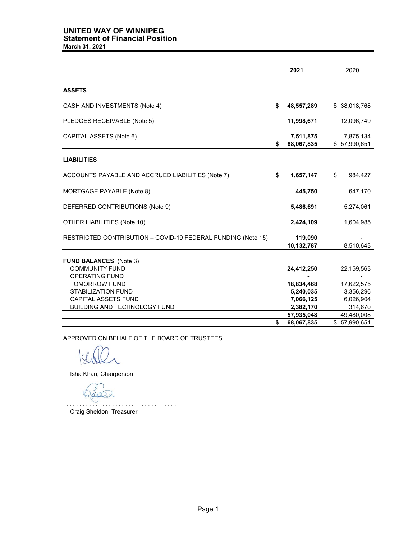|                                                              | 2021                          | 2020                      |
|--------------------------------------------------------------|-------------------------------|---------------------------|
| <b>ASSETS</b>                                                |                               |                           |
| CASH AND INVESTMENTS (Note 4)                                | \$<br>48,557,289              | \$ 38,018,768             |
| PLEDGES RECEIVABLE (Note 5)                                  | 11,998,671                    | 12,096,749                |
| CAPITAL ASSETS (Note 6)                                      | \$<br>7,511,875<br>68,067,835 | 7,875,134<br>\$57,990,651 |
| <b>LIABILITIES</b>                                           |                               |                           |
| ACCOUNTS PAYABLE AND ACCRUED LIABILITIES (Note 7)            | \$<br>1,657,147               | \$<br>984,427             |
| MORTGAGE PAYABLE (Note 8)                                    | 445,750                       | 647,170                   |
| DEFERRED CONTRIBUTIONS (Note 9)                              | 5,486,691                     | 5,274,061                 |
| OTHER LIABILITIES (Note 10)                                  | 2,424,109                     | 1,604,985                 |
| RESTRICTED CONTRIBUTION - COVID-19 FEDERAL FUNDING (Note 15) | 119,090                       |                           |
|                                                              | 10,132,787                    | 8,510,643                 |
|                                                              |                               |                           |
| <b>FUND BALANCES</b> (Note 3)<br><b>COMMUNITY FUND</b>       | 24,412,250                    | 22,159,563                |
| OPERATING FUND                                               |                               |                           |
| <b>TOMORROW FUND</b>                                         | 18,834,468                    | 17,622,575                |
| <b>STABILIZATION FUND</b>                                    | 5,240,035                     | 3,356,296                 |
| <b>CAPITAL ASSETS FUND</b>                                   | 7,066,125                     | 6,026,904                 |
| BUILDING AND TECHNOLOGY FUND                                 | 2,382,170                     | 314,670                   |
|                                                              | 57,935,048                    | 49,480,008                |
|                                                              | \$<br>68,067,835              | \$57,990,651              |

APPROVED ON BEHALF OF THE BOARD OF TRUSTEES

. . . . . . . . . . . . . . . . . . . . . . . . . . . . . . . . . . .

 $\vee$ M

Isha Khan, Chairperson

. . . . . . . . . . . . . . . . . . . . . . . . . . . . . . . . . . . Craig Sheldon, Treasurer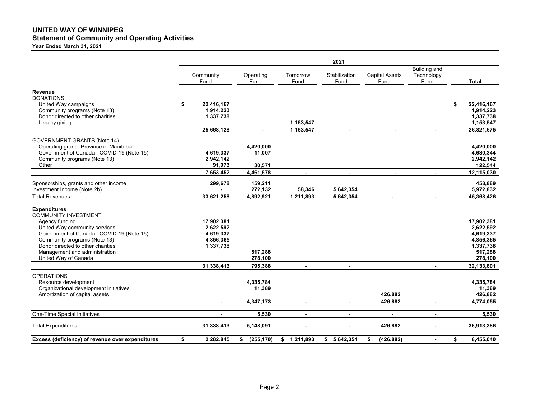# **UNITED WAY OF WINNIPEGStatement of Community and Operating Activities**

**Year Ended March 31, 2021**

|                                                                                                                                                                                                                                                                                  |                                                                              |                                  |                  | 2021                  |                               |                                    |                                                                                                    |
|----------------------------------------------------------------------------------------------------------------------------------------------------------------------------------------------------------------------------------------------------------------------------------|------------------------------------------------------------------------------|----------------------------------|------------------|-----------------------|-------------------------------|------------------------------------|----------------------------------------------------------------------------------------------------|
|                                                                                                                                                                                                                                                                                  | Community<br>Fund                                                            | Operating<br>Fund                | Tomorrow<br>Fund | Stabilization<br>Fund | <b>Capital Assets</b><br>Fund | Building and<br>Technology<br>Fund | <b>Total</b>                                                                                       |
| Revenue<br><b>DONATIONS</b><br>United Way campaigns<br>Community programs (Note 13)<br>Donor directed to other charities<br>Legacy giving                                                                                                                                        | \$<br>22,416,167<br>1,914,223<br>1,337,738                                   |                                  | 1,153,547        |                       |                               |                                    | \$<br>22,416,167<br>1.914.223<br>1,337,738<br>1,153,547                                            |
|                                                                                                                                                                                                                                                                                  | 25,668,128                                                                   | $\blacksquare$                   | 1,153,547        | $\sim$                | $\sim$                        | $\sim$                             | 26,821,675                                                                                         |
| <b>GOVERNMENT GRANTS (Note 14)</b><br>Operating grant - Province of Manitoba<br>Government of Canada - COVID-19 (Note 15)<br>Community programs (Note 13)<br>Other                                                                                                               | 4,619,337<br>2,942,142<br>91,973                                             | 4,420,000<br>11,007<br>30,571    |                  |                       |                               |                                    | 4,420,000<br>4,630,344<br>2,942,142<br>122,544                                                     |
|                                                                                                                                                                                                                                                                                  | 7.653.452                                                                    | 4.461.578                        | $\blacksquare$   | $\mathbf{r}$          | $\blacksquare$                | $\blacksquare$                     | 12.115.030                                                                                         |
| Sponsorships, grants and other income<br>Investment Income (Note 2b)                                                                                                                                                                                                             | 299,678                                                                      | 159,211<br>272,132               | 58,346           | 5,642,354             |                               |                                    | 458,889<br>5,972,832                                                                               |
| <b>Total Revenues</b>                                                                                                                                                                                                                                                            | 33,621,258                                                                   | 4,892,921                        | 1,211,893        | 5,642,354             |                               |                                    | 45,368,426                                                                                         |
| <b>Expenditures</b><br><b>COMMUNITY INVESTMENT</b><br>Agency funding<br>United Way community services<br>Government of Canada - COVID-19 (Note 15)<br>Community programs (Note 13)<br>Donor directed to other charities<br>Management and administration<br>United Way of Canada | 17,902,381<br>2,622,592<br>4,619,337<br>4,856,365<br>1,337,738<br>31,338,413 | 517,288<br>278,100<br>795,388    | $\sim$           | $\mathbf{r}$          |                               |                                    | 17,902,381<br>2,622,592<br>4,619,337<br>4,856,365<br>1,337,738<br>517,288<br>278,100<br>32,133,801 |
| <b>OPERATIONS</b>                                                                                                                                                                                                                                                                |                                                                              |                                  |                  |                       |                               |                                    |                                                                                                    |
| Resource development<br>Organizational development initiatives<br>Amortization of capital assets                                                                                                                                                                                 | $\overline{\phantom{a}}$                                                     | 4,335,784<br>11,389<br>4,347,173 | $\overline{a}$   | $\sim$                | 426.882<br>426.882            |                                    | 4.335.784<br>11,389<br>426,882<br>4,774,055                                                        |
| One-Time Special Initiatives                                                                                                                                                                                                                                                     |                                                                              | 5,530                            | $\blacksquare$   | $\blacksquare$        | $\blacksquare$                | $\blacksquare$                     | 5,530                                                                                              |
| <b>Total Expenditures</b>                                                                                                                                                                                                                                                        | 31,338,413                                                                   | 5,148,091                        | $\blacksquare$   | $\sim$                | 426,882                       |                                    | 36,913,386                                                                                         |
| Excess (deficiency) of revenue over expenditures                                                                                                                                                                                                                                 | \$<br>2,282,845                                                              | (255, 170)<br>\$                 | 1,211,893<br>\$  | 5,642,354<br>\$       | (426, 882)<br>\$              | $\overline{\phantom{a}}$           | \$<br>8,455,040                                                                                    |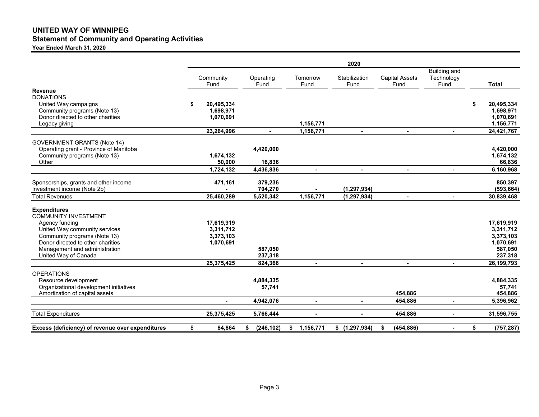# **UNITED WAY OF WINNIPEGStatement of Community and Operating Activities**

**Year Ended March 31, 2020**

|                                                                                                                                                                                                                                     |                                                                 |                                  |                  | 2020                  |                               |                                           |                                                                                       |
|-------------------------------------------------------------------------------------------------------------------------------------------------------------------------------------------------------------------------------------|-----------------------------------------------------------------|----------------------------------|------------------|-----------------------|-------------------------------|-------------------------------------------|---------------------------------------------------------------------------------------|
|                                                                                                                                                                                                                                     | Community<br>Fund                                               | Operating<br>Fund                | Tomorrow<br>Fund | Stabilization<br>Fund | <b>Capital Assets</b><br>Fund | <b>Building and</b><br>Technology<br>Fund | <b>Total</b>                                                                          |
| <b>Revenue</b><br><b>DONATIONS</b><br>United Way campaigns<br>Community programs (Note 13)<br>Donor directed to other charities<br>Legacy giving                                                                                    | \$<br>20,495,334<br>1,698,971<br>1,070,691                      |                                  | 1,156,771        |                       |                               |                                           | \$<br>20,495,334<br>1,698,971<br>1,070,691<br>1,156,771                               |
|                                                                                                                                                                                                                                     | 23,264,996                                                      | $\sim$                           | 1,156,771        | $\blacksquare$        | $\blacksquare$                | $\blacksquare$                            | 24,421,767                                                                            |
| <b>GOVERNMENT GRANTS (Note 14)</b><br>Operating grant - Province of Manitoba<br>Community programs (Note 13)<br>Other                                                                                                               | 1,674,132<br>50,000<br>1,724,132                                | 4,420,000<br>16,836<br>4,436,836 |                  |                       | $\sim$                        | $\blacksquare$                            | 4,420,000<br>1,674,132<br>66,836<br>6,160,968                                         |
| Sponsorships, grants and other income<br>Investment income (Note 2b)                                                                                                                                                                | 471,161                                                         | 379,236<br>704,270               |                  | (1, 297, 934)         |                               |                                           | 850,397<br>(593, 664)                                                                 |
| <b>Total Revenues</b>                                                                                                                                                                                                               | 25,460,289                                                      | 5,520,342                        | 1,156,771        | (1, 297, 934)         | $\blacksquare$                | $\blacksquare$                            | 30,839,468                                                                            |
| <b>Expenditures</b><br><b>COMMUNITY INVESTMENT</b><br>Agency funding<br>United Way community services<br>Community programs (Note 13)<br>Donor directed to other charities<br>Management and administration<br>United Way of Canada | 17,619,919<br>3,311,712<br>3,373,103<br>1,070,691<br>25,375,425 | 587,050<br>237,318<br>824,368    | $\sim$           | $\blacksquare$        | $\blacksquare$                |                                           | 17,619,919<br>3,311,712<br>3,373,103<br>1,070,691<br>587,050<br>237,318<br>26,199,793 |
| <b>OPERATIONS</b>                                                                                                                                                                                                                   |                                                                 |                                  |                  |                       |                               |                                           |                                                                                       |
| Resource development<br>Organizational development initiatives<br>Amortization of capital assets                                                                                                                                    |                                                                 | 4,884,335<br>57,741              |                  |                       | 454,886                       |                                           | 4,884,335<br>57,741<br>454,886                                                        |
|                                                                                                                                                                                                                                     |                                                                 | 4,942,076                        |                  |                       | 454,886                       | ×,                                        | 5,396,962                                                                             |
| <b>Total Expenditures</b>                                                                                                                                                                                                           | 25,375,425                                                      | 5,766,444                        |                  |                       | 454.886                       | $\blacksquare$                            | 31,596,755                                                                            |
| Excess (deficiency) of revenue over expenditures                                                                                                                                                                                    | \$<br>84,864                                                    | (246, 102)<br>\$                 | 1,156,771<br>\$  | \$(1,297,934)         | (454, 886)<br>\$              | ä,                                        | \$<br>(757, 287)                                                                      |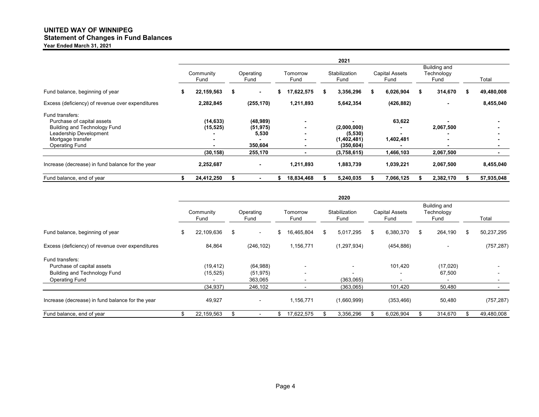#### **UNITED WAY OF WINNIPEG Statement of Changes in Fund Balances Year Ended March 31, 2021**

|                                                  |                   |                          |   |                  | 2021                  |                        |   |                                    |            |
|--------------------------------------------------|-------------------|--------------------------|---|------------------|-----------------------|------------------------|---|------------------------------------|------------|
|                                                  | Community<br>Fund | Operating<br>Fund        |   | Tomorrow<br>Fund | Stabilization<br>Fund | Capital Assets<br>Fund |   | Building and<br>Technology<br>Fund | Total      |
| Fund balance, beginning of year                  | \$<br>22,159,563  | $\overline{\phantom{0}}$ | S | 17,622,575       | 3,356,296             | 6,026,904              | S | 314,670                            | 49,480,008 |
| Excess (deficiency) of revenue over expenditures | 2,282,845         | (255, 170)               |   | 1,211,893        | 5,642,354             | (426, 882)             |   |                                    | 8,455,040  |
| Fund transfers:                                  |                   |                          |   |                  |                       |                        |   |                                    |            |
| Purchase of capital assets                       | (14, 633)         | (48,989)                 |   |                  |                       | 63,622                 |   |                                    |            |
| <b>Building and Technology Fund</b>              | (15, 525)         | (51, 975)                |   |                  | (2,000,000)           |                        |   | 2,067,500                          |            |
| Leadership Development                           |                   | 5,530                    |   |                  | (5,530)               |                        |   |                                    |            |
| Mortgage transfer                                |                   |                          |   |                  | (1,402,481)           | 1,402,481              |   |                                    |            |
| <b>Operating Fund</b>                            |                   | 350,604                  |   | -                | (350, 604)            |                        |   |                                    |            |
|                                                  | (30, 158)         | 255,170                  |   |                  | (3,758,615)           | 1,466,103              |   | 2,067,500                          |            |
| Increase (decrease) in fund balance for the year | 2,252,687         |                          |   | 1,211,893        | 1,883,739             | 1,039,221              |   | 2,067,500                          | 8,455,040  |
| Fund balance, end of year                        | 24,412,250        |                          |   | 18,834,468       | 5,240,035             | 7,066,125              |   | 2,382,170                          | 57,935,048 |

|                                                  |                   |                   |                  |   | 2020                  |    |                               |   |                                    |            |
|--------------------------------------------------|-------------------|-------------------|------------------|---|-----------------------|----|-------------------------------|---|------------------------------------|------------|
|                                                  | Community<br>Fund | Operating<br>Fund | Tomorrow<br>Fund |   | Stabilization<br>Fund |    | <b>Capital Assets</b><br>Fund |   | Building and<br>Technology<br>Fund | Total      |
| Fund balance, beginning of year                  | \$<br>22,109,636  | \$<br>$\sim$      | \$<br>16,465,804 | S | 5,017,295             | S. | 6,380,370                     | S | 264,190                            | 50,237,295 |
| Excess (deficiency) of revenue over expenditures | 84,864            | (246, 102)        | 1,156,771        |   | (1, 297, 934)         |    | (454, 886)                    |   |                                    | (757, 287) |
| Fund transfers:                                  |                   |                   |                  |   |                       |    |                               |   |                                    |            |
| Purchase of capital assets                       | (19, 412)         | (64, 988)         |                  |   |                       |    | 101,420                       |   | (17,020)                           |            |
| <b>Building and Technology Fund</b>              | (15, 525)         | (51, 975)         |                  |   |                       |    |                               |   | 67,500                             |            |
| <b>Operating Fund</b>                            |                   | 363,065           |                  |   | (363,065)             |    |                               |   |                                    |            |
|                                                  | (34, 937)         | 246,102           |                  |   | (363,065)             |    | 101,420                       |   | 50,480                             |            |
| Increase (decrease) in fund balance for the year | 49,927            |                   | 1,156,771        |   | (1,660,999)           |    | (353, 466)                    |   | 50,480                             | (757, 287) |
| Fund balance, end of year                        | \$<br>22,159,563  |                   | 17,622,575       |   | 3,356,296             |    | 6,026,904                     |   | 314,670                            | 49,480,008 |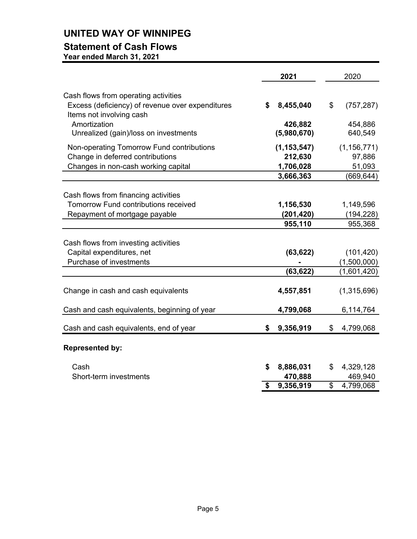# **UNITED WAY OF WINNIPEG**

# **Statement of Cash Flows**

**Year ended March 31, 2021**

|                                                                                                                                                                               |          | 2021                                  |                                | 2020                               |
|-------------------------------------------------------------------------------------------------------------------------------------------------------------------------------|----------|---------------------------------------|--------------------------------|------------------------------------|
| Cash flows from operating activities<br>Excess (deficiency) of revenue over expenditures<br>Items not involving cash<br>Amortization<br>Unrealized (gain)/loss on investments | \$       | 8,455,040<br>426,882<br>(5,980,670)   | \$                             | (757, 287)<br>454,886<br>640,549   |
| Non-operating Tomorrow Fund contributions<br>Change in deferred contributions<br>Changes in non-cash working capital                                                          |          | (1, 153, 547)<br>212,630<br>1,706,028 |                                | (1, 156, 771)<br>97,886<br>51,093  |
|                                                                                                                                                                               |          | 3,666,363                             |                                | (669, 644)                         |
| Cash flows from financing activities<br><b>Tomorrow Fund contributions received</b><br>Repayment of mortgage payable                                                          |          | 1,156,530<br>(201, 420)<br>955,110    |                                | 1,149,596<br>(194, 228)<br>955,368 |
| Cash flows from investing activities<br>Capital expenditures, net<br>Purchase of investments                                                                                  |          | (63, 622)                             |                                | (101, 420)<br>(1,500,000)          |
|                                                                                                                                                                               |          | (63, 622)                             |                                | (1,601,420)                        |
| Change in cash and cash equivalents                                                                                                                                           |          | 4,557,851                             |                                | (1,315,696)                        |
| Cash and cash equivalents, beginning of year                                                                                                                                  |          | 4,799,068                             |                                | 6,114,764                          |
| Cash and cash equivalents, end of year                                                                                                                                        | \$       | 9,356,919                             | \$                             | 4,799,068                          |
| <b>Represented by:</b>                                                                                                                                                        |          |                                       |                                |                                    |
| Cash<br>Short-term investments                                                                                                                                                | \$<br>\$ | 8,886,031<br>470,888<br>9,356,919     | \$<br>$\overline{\mathcal{S}}$ | 4,329,128<br>469,940<br>4,799,068  |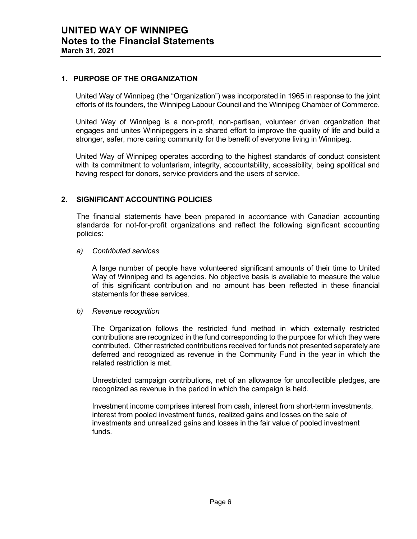## **1. PURPOSE OF THE ORGANIZATION**

United Way of Winnipeg (the "Organization") was incorporated in 1965 in response to the joint efforts of its founders, the Winnipeg Labour Council and the Winnipeg Chamber of Commerce.

United Way of Winnipeg is a non-profit, non-partisan, volunteer driven organization that engages and unites Winnipeggers in a shared effort to improve the quality of life and build a stronger, safer, more caring community for the benefit of everyone living in Winnipeg.

United Way of Winnipeg operates according to the highest standards of conduct consistent with its commitment to voluntarism, integrity, accountability, accessibility, being apolitical and having respect for donors, service providers and the users of service.

# **2. SIGNIFICANT ACCOUNTING POLICIES**

The financial statements have been prepared in accordance with Canadian accounting standards for not-for-profit organizations and reflect the following significant accounting policies:

#### *a) Contributed services*

A large number of people have volunteered significant amounts of their time to United Way of Winnipeg and its agencies. No objective basis is available to measure the value of this significant contribution and no amount has been reflected in these financial statements for these services.

#### *b) Revenue recognition*

The Organization follows the restricted fund method in which externally restricted contributions are recognized in the fund corresponding to the purpose for which they were contributed. Other restricted contributions received for funds not presented separately are deferred and recognized as revenue in the Community Fund in the year in which the related restriction is met.

Unrestricted campaign contributions, net of an allowance for uncollectible pledges, are recognized as revenue in the period in which the campaign is held.

Investment income comprises interest from cash, interest from short-term investments, interest from pooled investment funds, realized gains and losses on the sale of investments and unrealized gains and losses in the fair value of pooled investment funds.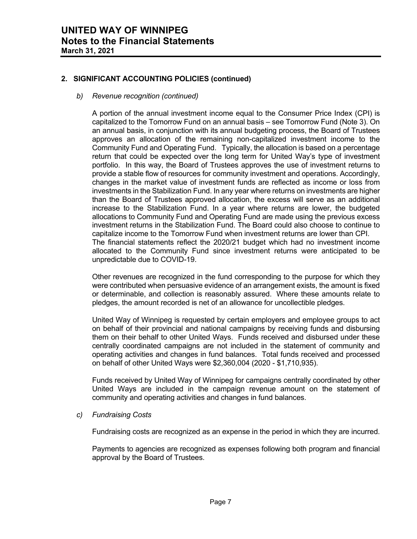# **2. SIGNIFICANT ACCOUNTING POLICIES (continued)**

#### *b) Revenue recognition (continued)*

A portion of the annual investment income equal to the Consumer Price Index (CPI) is capitalized to the Tomorrow Fund on an annual basis – see Tomorrow Fund (Note 3). On an annual basis, in conjunction with its annual budgeting process, the Board of Trustees approves an allocation of the remaining non-capitalized investment income to the Community Fund and Operating Fund. Typically, the allocation is based on a percentage return that could be expected over the long term for United Way's type of investment portfolio. In this way, the Board of Trustees approves the use of investment returns to provide a stable flow of resources for community investment and operations. Accordingly, changes in the market value of investment funds are reflected as income or loss from investments in the Stabilization Fund. In any year where returns on investments are higher than the Board of Trustees approved allocation, the excess will serve as an additional increase to the Stabilization Fund. In a year where returns are lower, the budgeted allocations to Community Fund and Operating Fund are made using the previous excess investment returns in the Stabilization Fund. The Board could also choose to continue to capitalize income to the Tomorrow Fund when investment returns are lower than CPI. The financial statements reflect the 2020/21 budget which had no investment income allocated to the Community Fund since investment returns were anticipated to be unpredictable due to COVID-19.

Other revenues are recognized in the fund corresponding to the purpose for which they were contributed when persuasive evidence of an arrangement exists, the amount is fixed or determinable, and collection is reasonably assured. Where these amounts relate to pledges, the amount recorded is net of an allowance for uncollectible pledges.

United Way of Winnipeg is requested by certain employers and employee groups to act on behalf of their provincial and national campaigns by receiving funds and disbursing them on their behalf to other United Ways. Funds received and disbursed under these centrally coordinated campaigns are not included in the statement of community and operating activities and changes in fund balances. Total funds received and processed on behalf of other United Ways were \$2,360,004 (2020 - \$1,710,935).

Funds received by United Way of Winnipeg for campaigns centrally coordinated by other United Ways are included in the campaign revenue amount on the statement of community and operating activities and changes in fund balances.

#### *c) Fundraising Costs*

Fundraising costs are recognized as an expense in the period in which they are incurred.

Payments to agencies are recognized as expenses following both program and financial approval by the Board of Trustees.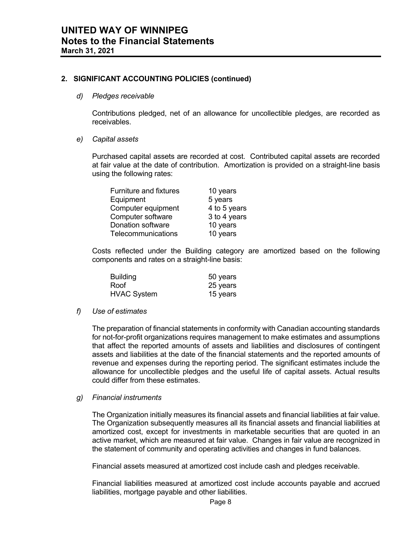#### **2. SIGNIFICANT ACCOUNTING POLICIES (continued)**

*d) Pledges receivable*

Contributions pledged, net of an allowance for uncollectible pledges, are recorded as receivables.

*e) Capital assets*

Purchased capital assets are recorded at cost. Contributed capital assets are recorded at fair value at the date of contribution. Amortization is provided on a straight-line basis using the following rates:

| <b>Furniture and fixtures</b> | 10 years     |
|-------------------------------|--------------|
| Equipment                     | 5 years      |
| Computer equipment            | 4 to 5 years |
| Computer software             | 3 to 4 years |
| Donation software             | 10 years     |
| Telecommunications            | 10 years     |

Costs reflected under the Building category are amortized based on the following components and rates on a straight-line basis:

| <b>Building</b>    | 50 years |
|--------------------|----------|
| Roof               | 25 years |
| <b>HVAC System</b> | 15 years |

#### *f) Use of estimates*

The preparation of financial statements in conformity with Canadian accounting standards for not-for-profit organizations requires management to make estimates and assumptions that affect the reported amounts of assets and liabilities and disclosures of contingent assets and liabilities at the date of the financial statements and the reported amounts of revenue and expenses during the reporting period. The significant estimates include the allowance for uncollectible pledges and the useful life of capital assets. Actual results could differ from these estimates.

#### *g) Financial instruments*

The Organization initially measures its financial assets and financial liabilities at fair value. The Organization subsequently measures all its financial assets and financial liabilities at amortized cost, except for investments in marketable securities that are quoted in an active market, which are measured at fair value. Changes in fair value are recognized in the statement of community and operating activities and changes in fund balances.

Financial assets measured at amortized cost include cash and pledges receivable.

Financial liabilities measured at amortized cost include accounts payable and accrued liabilities, mortgage payable and other liabilities.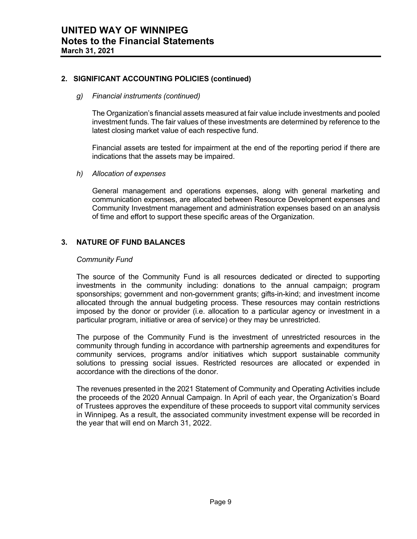# **2. SIGNIFICANT ACCOUNTING POLICIES (continued)**

#### *g) Financial instruments (continued)*

The Organization's financial assets measured at fair value include investments and pooled investment funds. The fair values of these investments are determined by reference to the latest closing market value of each respective fund.

Financial assets are tested for impairment at the end of the reporting period if there are indications that the assets may be impaired.

*h) Allocation of expenses*

General management and operations expenses, along with general marketing and communication expenses, are allocated between Resource Development expenses and Community Investment management and administration expenses based on an analysis of time and effort to support these specific areas of the Organization.

#### **3. NATURE OF FUND BALANCES**

#### *Community Fund*

The source of the Community Fund is all resources dedicated or directed to supporting investments in the community including: donations to the annual campaign; program sponsorships; government and non-government grants; gifts-in-kind; and investment income allocated through the annual budgeting process. These resources may contain restrictions imposed by the donor or provider (i.e. allocation to a particular agency or investment in a particular program, initiative or area of service) or they may be unrestricted.

The purpose of the Community Fund is the investment of unrestricted resources in the community through funding in accordance with partnership agreements and expenditures for community services, programs and/or initiatives which support sustainable community solutions to pressing social issues. Restricted resources are allocated or expended in accordance with the directions of the donor.

The revenues presented in the 2021 Statement of Community and Operating Activities include the proceeds of the 2020 Annual Campaign. In April of each year, the Organization's Board of Trustees approves the expenditure of these proceeds to support vital community services in Winnipeg. As a result, the associated community investment expense will be recorded in the year that will end on March 31, 2022.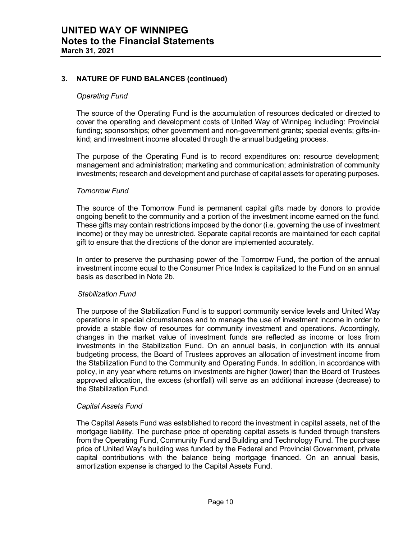# **3. NATURE OF FUND BALANCES (continued)**

#### *Operating Fund*

The source of the Operating Fund is the accumulation of resources dedicated or directed to cover the operating and development costs of United Way of Winnipeg including: Provincial funding; sponsorships; other government and non-government grants; special events; gifts-inkind; and investment income allocated through the annual budgeting process.

The purpose of the Operating Fund is to record expenditures on: resource development; management and administration; marketing and communication; administration of community investments; research and development and purchase of capital assets for operating purposes.

#### *Tomorrow Fund*

The source of the Tomorrow Fund is permanent capital gifts made by donors to provide ongoing benefit to the community and a portion of the investment income earned on the fund. These gifts may contain restrictions imposed by the donor (i.e. governing the use of investment income) or they may be unrestricted. Separate capital records are maintained for each capital gift to ensure that the directions of the donor are implemented accurately.

In order to preserve the purchasing power of the Tomorrow Fund, the portion of the annual investment income equal to the Consumer Price Index is capitalized to the Fund on an annual basis as described in Note 2b.

#### *Stabilization Fund*

The purpose of the Stabilization Fund is to support community service levels and United Way operations in special circumstances and to manage the use of investment income in order to provide a stable flow of resources for community investment and operations. Accordingly, changes in the market value of investment funds are reflected as income or loss from investments in the Stabilization Fund. On an annual basis, in conjunction with its annual budgeting process, the Board of Trustees approves an allocation of investment income from the Stabilization Fund to the Community and Operating Funds. In addition, in accordance with policy, in any year where returns on investments are higher (lower) than the Board of Trustees approved allocation, the excess (shortfall) will serve as an additional increase (decrease) to the Stabilization Fund.

#### *Capital Assets Fund*

The Capital Assets Fund was established to record the investment in capital assets, net of the mortgage liability. The purchase price of operating capital assets is funded through transfers from the Operating Fund, Community Fund and Building and Technology Fund. The purchase price of United Way's building was funded by the Federal and Provincial Government, private capital contributions with the balance being mortgage financed. On an annual basis, amortization expense is charged to the Capital Assets Fund.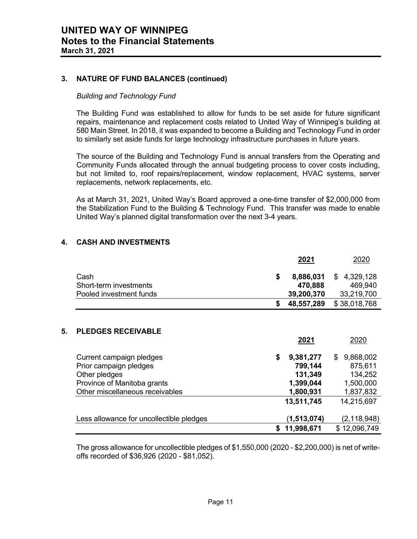# **3. NATURE OF FUND BALANCES (continued)**

#### *Building and Technology Fund*

The Building Fund was established to allow for funds to be set aside for future significant repairs, maintenance and replacement costs related to United Way of Winnipeg's building at 580 Main Street. In 2018, it was expanded to become a Building and Technology Fund in order to similarly set aside funds for large technology infrastructure purchases in future years.

The source of the Building and Technology Fund is annual transfers from the Operating and Community Funds allocated through the annual budgeting process to cover costs including, but not limited to, roof repairs/replacement, window replacement, HVAC systems, server replacements, network replacements, etc.

As at March 31, 2021, United Way's Board approved a one-time transfer of \$2,000,000 from the Stabilization Fund to the Building & Technology Fund. This transfer was made to enable United Way's planned digital transformation over the next 3-4 years.

# **4. CASH AND INVESTMENTS**

|    |                                          | 2021             | <u> 2020</u>    |
|----|------------------------------------------|------------------|-----------------|
|    | Cash                                     | \$<br>8,886,031  | \$<br>4,329,128 |
|    | Short-term investments                   | 470,888          | 469,940         |
|    | Pooled investment funds                  | 39,200,370       | 33,219,700      |
|    |                                          | \$<br>48,557,289 | \$38,018,768    |
| 5. | <b>PLEDGES RECEIVABLE</b>                |                  |                 |
|    |                                          | 2021             | <u>2020</u>     |
|    | Current campaign pledges                 | \$<br>9,381,277  | 9,868,002<br>\$ |
|    | Prior campaign pledges                   | 799,144          | 875,611         |
|    | Other pledges                            | 131,349          | 134,252         |
|    | Province of Manitoba grants              | 1,399,044        | 1,500,000       |
|    | Other miscellaneous receivables          | 1,800,931        | 1,837,832       |
|    |                                          | 13,511,745       | 14,215,697      |
|    | Less allowance for uncollectible pledges | (1,513,074)      | (2, 118, 948)   |
|    |                                          | \$<br>11,998,671 | \$12,096,749    |

The gross allowance for uncollectible pledges of \$1,550,000 (2020 - \$2,200,000) is net of writeoffs recorded of \$36,926 (2020 - \$81,052).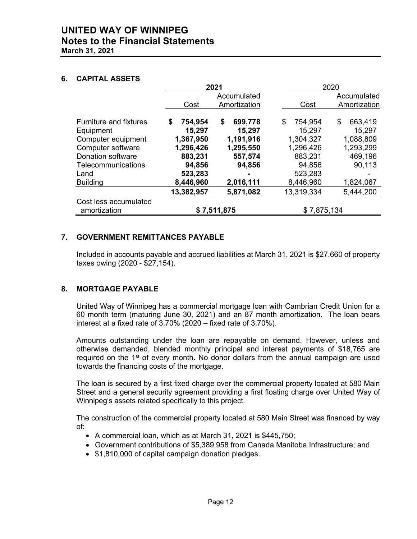## **6. CAPITAL ASSETS**

|                               |              | 2021                        |               | 2020                        |
|-------------------------------|--------------|-----------------------------|---------------|-----------------------------|
|                               | Cost         | Accumulated<br>Amortization | Cost          | Accumulated<br>Amortization |
| <b>Furniture and fixtures</b> | S<br>754,954 | \$<br>699,778               | \$<br>754,954 | \$<br>663,419               |
| Equipment                     | 15,297       | 15,297                      | 15,297        | 15,297                      |
| Computer equipment            | 1,367,950    | 1,191,916                   | 1,304,327     | 1,088,809                   |
| Computer software             | 1,296,426    | 1,295,550                   | 1,296,426     | 1,293,299                   |
| Donation software             | 883,231      | 557,574                     | 883,231       | 469,196                     |
| Telecommunications            | 94,856       | 94,856                      | 94,856        | 90,113                      |
| Land                          | 523,283      |                             | 523,283       |                             |
| <b>Building</b>               | 8,446,960    | 2,016,111                   | 8,446,960     | 1,824,067                   |
|                               | 13,382,957   | 5,871,082                   | 13,319,334    | 5,444,200                   |
| Cost less accumulated         |              |                             |               |                             |
| amortization                  |              | \$7,511,875                 | \$7,875,134   |                             |

# **7. GOVERNMENT REMITTANCES PAYABLE**

 Included in accounts payable and accrued liabilities at March 31, 2021 is \$27,660 of property taxes owing (2020 - \$27,154).

# **8. MORTGAGE PAYABLE**

 United Way of Winnipeg has a commercial mortgage loan with Cambrian Credit Union for a 60 month term (maturing June 30, 2021) and an 87 month amortization. The loan bears interest at a fixed rate of 3.70% (2020 – fixed rate of 3.70%).

 Amounts outstanding under the loan are repayable on demand. However, unless and otherwise demanded, blended monthly principal and interest payments of \$18,765 are required on the  $1<sup>st</sup>$  of every month. No donor dollars from the annual campaign are used towards the financing costs of the mortgage.

 The loan is secured by a first fixed charge over the commercial property located at 580 Main Street and a general security agreement providing a first floating charge over United Way of Winnipeg's assets related specifically to this project.

 The construction of the commercial property located at 580 Main Street was financed by way of:

- A commercial loan, which as at March 31, 2021 is \$445,750;
- Government contributions of \$5,389,958 from Canada Manitoba Infrastructure; and
- \$1,810,000 of capital campaign donation pledges.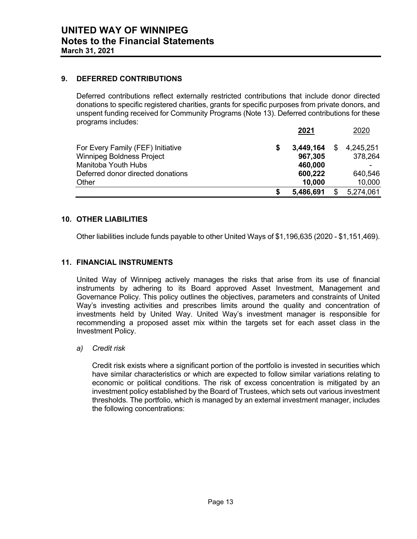# **9. DEFERRED CONTRIBUTIONS**

Deferred contributions reflect externally restricted contributions that include donor directed donations to specific registered charities, grants for specific purposes from private donors, and unspent funding received for Community Programs (Note 13). Deferred contributions for these programs includes:

|                                   | 2021      | 2020      |
|-----------------------------------|-----------|-----------|
| For Every Family (FEF) Initiative | 3,449,164 | 4,245,251 |
| <b>Winnipeg Boldness Project</b>  | 967,305   | 378,264   |
| Manitoba Youth Hubs               | 460,000   |           |
| Deferred donor directed donations | 600,222   | 640,546   |
| Other                             | 10,000    | 10,000    |
|                                   | 5,486,691 | 5,274,061 |

# **10. OTHER LIABILITIES**

Other liabilities include funds payable to other United Ways of \$1,196,635 (2020 - \$1,151,469).

## **11. FINANCIAL INSTRUMENTS**

United Way of Winnipeg actively manages the risks that arise from its use of financial instruments by adhering to its Board approved Asset Investment, Management and Governance Policy. This policy outlines the objectives, parameters and constraints of United Way's investing activities and prescribes limits around the quality and concentration of investments held by United Way. United Way's investment manager is responsible for recommending a proposed asset mix within the targets set for each asset class in the Investment Policy.

#### *a) Credit risk*

Credit risk exists where a significant portion of the portfolio is invested in securities which have similar characteristics or which are expected to follow similar variations relating to economic or political conditions. The risk of excess concentration is mitigated by an investment policy established by the Board of Trustees, which sets out various investment thresholds. The portfolio, which is managed by an external investment manager, includes the following concentrations: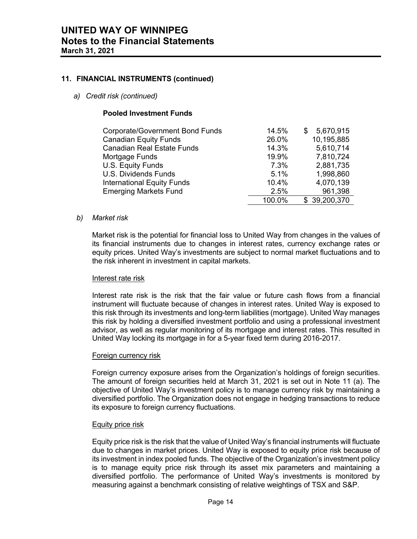## **11. FINANCIAL INSTRUMENTS (continued)**

*a) Credit risk (continued)*

#### **Pooled Investment Funds**

| Corporate/Government Bond Funds   | 14.5%  | 5,670,915    |
|-----------------------------------|--------|--------------|
| <b>Canadian Equity Funds</b>      | 26.0%  | 10,195,885   |
| <b>Canadian Real Estate Funds</b> | 14.3%  | 5,610,714    |
| Mortgage Funds                    | 19.9%  | 7,810,724    |
| U.S. Equity Funds                 | 7.3%   | 2,881,735    |
| <b>U.S. Dividends Funds</b>       | 5.1%   | 1,998,860    |
| <b>International Equity Funds</b> | 10.4%  | 4,070,139    |
| <b>Emerging Markets Fund</b>      | 2.5%   | 961,398      |
|                                   | 100.0% | \$39,200,370 |

#### *b) Market risk*

Market risk is the potential for financial loss to United Way from changes in the values of its financial instruments due to changes in interest rates, currency exchange rates or equity prices. United Way's investments are subject to normal market fluctuations and to the risk inherent in investment in capital markets.

#### Interest rate risk

Interest rate risk is the risk that the fair value or future cash flows from a financial instrument will fluctuate because of changes in interest rates. United Way is exposed to this risk through its investments and long-term liabilities (mortgage). United Way manages this risk by holding a diversified investment portfolio and using a professional investment advisor, as well as regular monitoring of its mortgage and interest rates. This resulted in United Way locking its mortgage in for a 5-year fixed term during 2016-2017.

#### Foreign currency risk

Foreign currency exposure arises from the Organization's holdings of foreign securities. The amount of foreign securities held at March 31, 2021 is set out in Note 11 (a). The objective of United Way's investment policy is to manage currency risk by maintaining a diversified portfolio. The Organization does not engage in hedging transactions to reduce its exposure to foreign currency fluctuations.

#### Equity price risk

Equity price risk is the risk that the value of United Way's financial instruments will fluctuate due to changes in market prices. United Way is exposed to equity price risk because of its investment in index pooled funds. The objective of the Organization's investment policy is to manage equity price risk through its asset mix parameters and maintaining a diversified portfolio. The performance of United Way's investments is monitored by measuring against a benchmark consisting of relative weightings of TSX and S&P.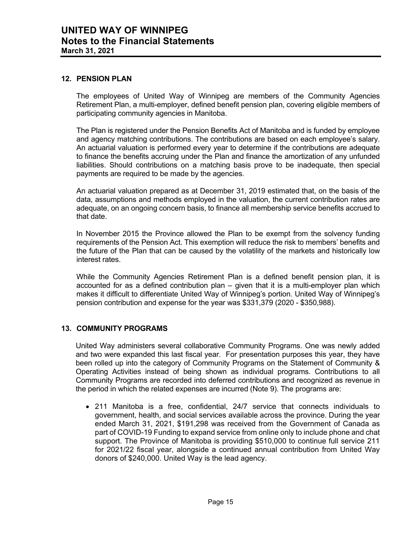## **12. PENSION PLAN**

The employees of United Way of Winnipeg are members of the Community Agencies Retirement Plan, a multi-employer, defined benefit pension plan, covering eligible members of participating community agencies in Manitoba.

The Plan is registered under the Pension Benefits Act of Manitoba and is funded by employee and agency matching contributions. The contributions are based on each employee's salary. An actuarial valuation is performed every year to determine if the contributions are adequate to finance the benefits accruing under the Plan and finance the amortization of any unfunded liabilities. Should contributions on a matching basis prove to be inadequate, then special payments are required to be made by the agencies.

An actuarial valuation prepared as at December 31, 2019 estimated that, on the basis of the data, assumptions and methods employed in the valuation, the current contribution rates are adequate, on an ongoing concern basis, to finance all membership service benefits accrued to that date.

In November 2015 the Province allowed the Plan to be exempt from the solvency funding requirements of the Pension Act. This exemption will reduce the risk to members' benefits and the future of the Plan that can be caused by the volatility of the markets and historically low interest rates.

While the Community Agencies Retirement Plan is a defined benefit pension plan, it is accounted for as a defined contribution plan – given that it is a multi-employer plan which makes it difficult to differentiate United Way of Winnipeg's portion. United Way of Winnipeg's pension contribution and expense for the year was \$331,379 (2020 - \$350,988).

# **13. COMMUNITY PROGRAMS**

United Way administers several collaborative Community Programs. One was newly added and two were expanded this last fiscal year. For presentation purposes this year, they have been rolled up into the category of Community Programs on the Statement of Community & Operating Activities instead of being shown as individual programs. Contributions to all Community Programs are recorded into deferred contributions and recognized as revenue in the period in which the related expenses are incurred (Note 9). The programs are:

 211 Manitoba is a free, confidential, 24/7 service that connects individuals to government, health, and social services available across the province. During the year ended March 31, 2021, \$191,298 was received from the Government of Canada as part of COVID-19 Funding to expand service from online only to include phone and chat support. The Province of Manitoba is providing \$510,000 to continue full service 211 for 2021/22 fiscal year, alongside a continued annual contribution from United Way donors of \$240,000. United Way is the lead agency.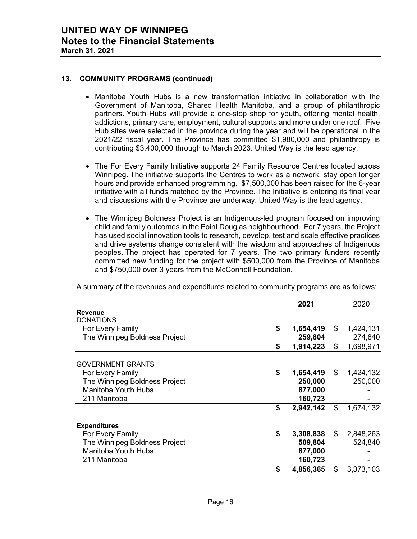# **13. COMMUNITY PROGRAMS (continued)**

- Manitoba Youth Hubs is a new transformation initiative in collaboration with the Government of Manitoba, Shared Health Manitoba, and a group of philanthropic partners. Youth Hubs will provide a one-stop shop for youth, offering mental health, addictions, primary care, employment, cultural supports and more under one roof. Five Hub sites were selected in the province during the year and will be operational in the 2021/22 fiscal year. The Province has committed \$1,980,000 and philanthropy is contributing \$3,400,000 through to March 2023. United Way is the lead agency.
- The For Every Family Initiative supports 24 Family Resource Centres located across Winnipeg. The initiative supports the Centres to work as a network, stay open longer hours and provide enhanced programming. \$7,500,000 has been raised for the 6-year initiative with all funds matched by the Province. The Initiative is entering its final year and discussions with the Province are underway. United Way is the lead agency.
- The Winnipeg Boldness Project is an Indigenous-led program focused on improving child and family outcomes in the Point Douglas neighbourhood. For 7 years, the Project has used social innovation tools to research, develop, test and scale effective practices and drive systems change consistent with the wisdom and approaches of Indigenous peoples. The project has operated for 7 years. The two primary funders recently committed new funding for the project with \$500,000 from the Province of Manitoba and \$750,000 over 3 years from the McConnell Foundation.

|  | A summary of the revenues and expenditures related to community programs are as follows: |  |  |
|--|------------------------------------------------------------------------------------------|--|--|
|  |                                                                                          |  |  |

|                               | 2021            | 2020            |
|-------------------------------|-----------------|-----------------|
| <b>Revenue</b>                |                 |                 |
| <b>DONATIONS</b>              |                 |                 |
| For Every Family              | \$<br>1,654,419 | \$<br>1,424,131 |
| The Winnipeg Boldness Project | 259,804         | 274,840         |
|                               | \$<br>1,914,223 | \$<br>1,698,971 |
| <b>GOVERNMENT GRANTS</b>      |                 |                 |
| For Every Family              | \$<br>1,654,419 | \$<br>1,424,132 |
| The Winnipeg Boldness Project | 250,000         | 250,000         |
| <b>Manitoba Youth Hubs</b>    | 877,000         |                 |
| 211 Manitoba                  | 160,723         |                 |
|                               | \$<br>2,942,142 | \$<br>1,674,132 |
| <b>Expenditures</b>           |                 |                 |
| For Every Family              | \$<br>3,308,838 | \$<br>2,848,263 |
| The Winnipeg Boldness Project | 509,804         | 524,840         |
| <b>Manitoba Youth Hubs</b>    | 877,000         |                 |
| 211 Manitoba                  | 160,723         |                 |
|                               | \$<br>4,856,365 | \$<br>3,373,103 |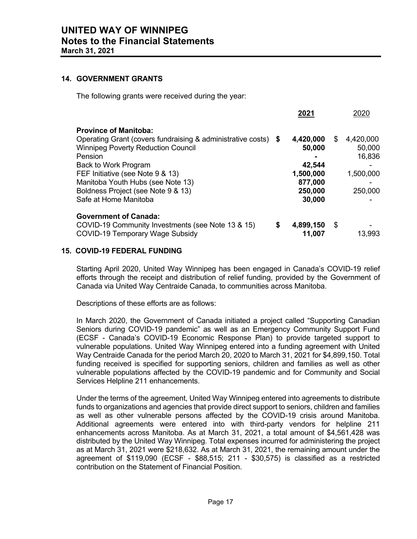## **14. GOVERNMENT GRANTS**

The following grants were received during the year:

|                                                                | 2021            |     |           |
|----------------------------------------------------------------|-----------------|-----|-----------|
| <b>Province of Manitoba:</b>                                   |                 |     |           |
| Operating Grant (covers fundraising & administrative costs) \$ | 4,420,000       | \$. | 4,420,000 |
| <b>Winnipeg Poverty Reduction Council</b>                      | 50,000          |     | 50,000    |
| Pension                                                        |                 |     | 16,836    |
| Back to Work Program                                           | 42,544          |     |           |
| FEF Initiative (see Note 9 & 13)                               | 1,500,000       |     | 1,500,000 |
| Manitoba Youth Hubs (see Note 13)                              | 877,000         |     |           |
| Boldness Project (see Note 9 & 13)                             | 250,000         |     | 250,000   |
| Safe at Home Manitoba                                          | 30,000          |     |           |
| <b>Government of Canada:</b>                                   |                 |     |           |
| COVID-19 Community Investments (see Note 13 & 15)              | \$<br>4,899,150 | \$  |           |
| <b>COVID-19 Temporary Wage Subsidy</b>                         | 11,007          |     | 13,993    |
|                                                                |                 |     |           |

# **15. COVID-19 FEDERAL FUNDING**

Starting April 2020, United Way Winnipeg has been engaged in Canada's COVID-19 relief efforts through the receipt and distribution of relief funding, provided by the Government of Canada via United Way Centraide Canada, to communities across Manitoba.

Descriptions of these efforts are as follows:

In March 2020, the Government of Canada initiated a project called "Supporting Canadian Seniors during COVID-19 pandemic" as well as an Emergency Community Support Fund (ECSF - Canada's COVID-19 Economic Response Plan) to provide targeted support to vulnerable populations. United Way Winnipeg entered into a funding agreement with United Way Centraide Canada for the period March 20, 2020 to March 31, 2021 for \$4,899,150. Total funding received is specified for supporting seniors, children and families as well as other vulnerable populations affected by the COVID-19 pandemic and for Community and Social Services Helpline 211 enhancements.

Under the terms of the agreement, United Way Winnipeg entered into agreements to distribute funds to organizations and agencies that provide direct support to seniors, children and families as well as other vulnerable persons affected by the COVID-19 crisis around Manitoba. Additional agreements were entered into with third-party vendors for helpline 211 enhancements across Manitoba. As at March 31, 2021, a total amount of \$4,561,428 was distributed by the United Way Winnipeg. Total expenses incurred for administering the project as at March 31, 2021 were \$218,632. As at March 31, 2021, the remaining amount under the agreement of \$119,090 (ECSF - \$88,515; 211 - \$30,575) is classified as a restricted contribution on the Statement of Financial Position.